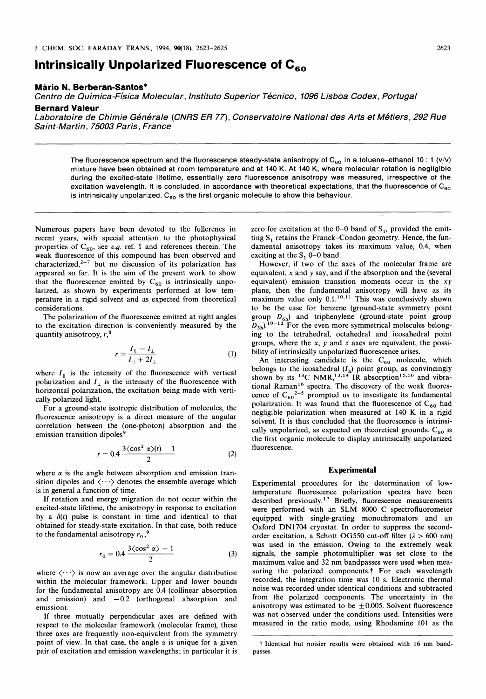# **Intrinsically Unpolarized Fluorescence of** *C,,*

#### **Mario N. Berberan-Santos"**

*Centro de Quimica-Fisica Molecular, lnstituto Superior Tecnico, 1096 Lisboa Codex, Portugal* 

## **Bernard Valeur**

*Laboratoire de Chimie Generale (CNRS ER 77), Conservatoire National des Arts et Metiers, 292 Rue Saint-Martin, 75003 Paris, France* 

The fluorescence spectrum and the fluorescence steady-state anisotropy of  $C_{60}$  in a toluene-ethanol 10 : 1 (v/v) mixture have been obtained at room temperature and at 140 K. At 140 K, where molecular rotation is negligible during the excited-state lifetime, essentially zero fluorescence anisotropy was measured, irrespective of the excitation wavelength. It is concluded, in accordance with theoretical expectations, that the fluorescence of C<sub>60</sub> is intrinsically unpolarized. C<sub>60</sub> is the first organic molecule to show this behaviour.

Numerous papers have been devoted to the fullerenes in recent years, with special attention to the photophysical properties of  $C_{60}$ , see *e.g.* ref. 1 and references therein. The weak fluorescence of this compound has been observed and characterized, $2-7$  but no discussion of its polarization has appeared so far. It is the aim of the present work to show that the fluorescence emitted by  $C_{60}$  is intrinsically unpolarized, as shown by experiments performed at low temperature in a rigid solvent and as expected from theoretical considerations.

The polarization of the fluorescence emitted at right angles to the excitation direction is conveniently measured by the quantity anisotropy, *r,\** 

$$
r = \frac{I_{\parallel} - I_{\perp}}{I_{\parallel} + 2I_{\perp}}
$$
 (1)

where  $I_{\parallel}$  is the intensity of the fluorescence with vertical polarization and  $I_{\perp}$  is the intensity of the fluorescence with horizontal polarization, the excitation being made with vertically polarized light.

For a ground-state isotropic distribution of molecules, the fluorescence anisotropy is a direct measure of the angular correlation between the (one-photon) absorption and the emission transition dipoles'

$$
r = 0.4 \frac{3 \langle \cos^2 \alpha \rangle(t) - 1}{2} \tag{2}
$$

where  $\alpha$  is the angle between absorption and emission transition dipoles and  $\langle \cdots \rangle$  denotes the ensemble average which is in general a function of time.

If rotation and energy migration do not occur within the excited-state lifetime, the anisotropy in response to excitation by a  $\delta(t)$  pulse is constant in time and identical to that obtained for steady-state excitation. In that case, both reduce to the fundamental anisotropy  $r_0$ ,<sup>9</sup>

$$
r_0 = 0.4 \frac{3 \langle \cos^2 \alpha \rangle - 1}{2} \tag{3}
$$

where  $\langle \cdots \rangle$  is now an average over the angular distribution within the molecular framework. Upper and lower bounds for the fundamental anisotropy are 0.4 (collinear absorption and emission) and  $-0.2$  (orthogonal absorption and emission).

If three mutually perpendicular axes are defined with respect to the molecular framework (molecular frame), these three axes are frequently non-equivalent from the symmetry point of view. In that case, the angle  $\alpha$  is unique for a given pair of excitation and emission wavelengths; in particular it is zero for excitation at the  $0-0$  band of  $S_1$ , provided the emitting  $S_1$  retains the Franck–Condon geometry. Hence, the fundamental anisotropy takes its maximum value, 0.4, when exciting at the **S,** 0-0 band.

However, if two of the axes of the molecular frame are equivalent, **x** and *y* say, and if the absorption and the (several equivalent) emission transition moments occur in the *xy*  plane, then the fundamental anisotropy will have as its maximum value only  $0.1$ .<sup>10,11</sup> This was conclusively shown to be the case for benzene (ground-state symmetry point group  $D_{6h}$ ) and triphenylene (ground-state point group  $D_{3h}$ <sup>10-12</sup> For the even more symmetrical molecules belonging to the tetrahedral, octahedral and icosahedral point groups, where the **x,** y and *z* axes are equivalent, the possibility of intrinsically unpolarized fluorescence arises.

An interesting candidate is the  $C_{60}$  molecule, which belongs to the icosahedral  $(I_h)$  point group, as convincingly shown by its <sup>13</sup>C NMR,<sup>13,14</sup> IR absorption<sup>15,16</sup> and vibrational Raman<sup>16</sup> spectra. The discovery of the weak fluorescence of  $C_{60}^{2-5}$  prompted us to investigate its fundamental polarization. It was found that the fluorescence of  $C_{60}$  had negligible polarization when measured at 140 **K** in a rigid solvent. It is thus concluded that the fluorescence is intrinsically unpolarized, as expected on theoretical grounds.  $C_{60}$  is the first organic molecule to display intrinsically unpolarized fluorescence.

#### **Experimental**

Experimental procedures for the determination of lowtemperature fluorescence polarization spectra have been described previously.<sup>17</sup> Briefly, fluorescence measurements were performed with an SLM **8000 C** spectrofluorometer equipped with single-grating monochromators and an Oxford DN1704 cryostat. In order to suppress the secondorder excitation, a Schott OG550 cut-off filter  $(\lambda > 600 \text{ nm})$ was used in the emission. Owing to the extremely weak signals, the sample photomultiplier was set close to the maximum value and **32** nm bandpasses were used when measuring the polarized components.<sup>†</sup> For each wavelength recorded, the integration time was 10 s. Electronic thermal noise was recorded under identical conditions and subtracted from the polarized components. The uncertainty in the anisotropy was estimated to be  $\pm 0.005$ . Solvent fluorescence was not observed under the conditions used. Intensities were measured in the ratio mode, using Rhodamine 101 as the

t **Identical but noisier results were obtained with 16 nm bandpasses.**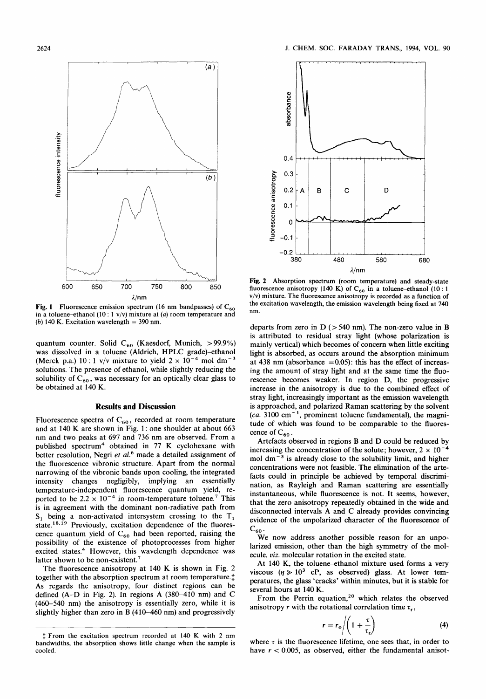

**Fig. 1** Fluorescence emission spectrum (16 nm bandpasses) of  $C_{60}$ **in a toluene-thanol** (10 : **1 v/v) mixture at** *(a)* **room temperature and**   $(b)$  140 K. Excitation wavelength  $=$  390 nm.

quantum counter. Solid C<sub>60</sub> (Kaesdorf, Munich, > 99.9%) was dissolved in a toluene (Aldrich, HPLC grade)-ethanol (Merck p.a.)  $10:1$  v/v mixture to yield  $2 \times 10^{-4}$  mol dm<sup>-3</sup> solutions. The presence of ethanol, while slightly reducing the solubility of  $C_{60}$ , was necessary for an optically clear glass to be obtained at **140 K.** 

### **Results and Discussion**

Fluorescence spectra of  $C_{60}$ , recorded at room temperature and at **140 K** are shown in Fig. **1** : one shoulder at about **663**  nm and two peaks at **697** and **736** nm are observed. From a published spectrum4 obtained in **77 K** cyclohexane with better resolution, Negri *et aL6* made a detailed assignment of the fluorescence vibronic structure. Apart from the normal narrowing of the vibronic bands upon cooling, the integrated intensity changes negligibly, implying an essentially temperature-independent fluorescence quantum yield, reported to be  $2.2 \times 10^{-4}$  in room-temperature toluene.<sup>7</sup> This is in agreement with the dominant non-radiative path from  $S_1$  being a non-activated intersystem crossing to the  $T_1$ state.<sup>18,19</sup> Previously, excitation dependence of the fluorescence quantum yield of  $C_{60}$  had been reported, raising the possibility of the existence of photoprocesses from higher excited states.<sup>4</sup> However, this wavelength dependence was latter shown to be non-existent.<sup>7</sup>

The fluorescence anisotropy at **140 K** is shown in Fig. 2 together with the absorption spectrum at room temperature.<sup>†</sup> As regards the anisotropy, four distinct regions can be defined (A-D in Fig. **2).** In regions A **(380-410** nm) and **C (460-540** nm) the anisotropy is essentially zero, while it is slightly higher than zero in **B (410-460** nm) and progressively



**Fig. 2 Absorption spectrum (room temperature) and steady-state**  fluorescence anisotropy (140 K) of  $C_{60}$  in a toluene-ethanol (10 : 1 **v/v) mixture. The fluorescence anisotropy is recorded as a function of the excitation wavelength, the emission wavelength being fixed at 740 nm.** 

departs from zero in  $D$  ( $> 540$  nm). The non-zero value in **B** is attributed to residual stray light (whose polarization is mainly vertical) which becomes of concern when little exciting light is absorbed, as occurs around the absorption minimum at **438** nm (absorbance *=0.05):* this has the effect of increasing the amount **of** stray light and at the same time the fluorescence becomes weaker. In region D, the progressive increase in the anisotropy is due to the combined effect of stray light, increasingly important as the emission wavelength is approached, and polarized Raman scattering by the solvent *(ca.* **3100** cm- ', prominent toluene fundamental), the magnitude of which was found to be comparable to the fluorescence of  $C_{60}$ .

Artefacts observed in regions B and D could be reduced by increasing the concentration of the solute; however,  $2 \times 10^{-4}$ mol  $dm^{-3}$  is already close to the solubility limit, and higher concentrations were not feasible. The elimination of the artefacts could in principle be achieved by temporal discrimination, as Rayleigh and Raman scattering are essentially instantaneous, while fluorescence is not. It seems, however, that the zero anisotropy repeatedly obtained in the wide and disconnected intervals A and **C** already provides convincing evidence of the unpolarized character **of** the fluorescence of  $\mathrm{C}_{60}$ 

We now address another possible reason for an unpolarized emission, other than the high symmetry of the molecule, *viz.* molecular rotation in the excited state.

At 140 K, the toluene-ethanol mixture used forms a very viscous  $(\eta \ge 10^3 \text{ cP})$ , as observed) glass. At lower temperatures, the glass 'cracks' within minutes, but it is stable for several hours at **140 K.** 

From the Perrin equation,<sup>20</sup> which relates the observed anisotropy *r* with the rotational correlation time  $\tau_r$ ,

$$
r = r_0 \left/ \left( 1 + \frac{\tau}{\tau_r} \right) \right. \tag{4}
$$

where  $\tau$  is the fluorescence lifetime, one sees that, in order to have  $r < 0.005$ , as observed, either the fundamental anisot-

<sup>1</sup> **From the excitation spectrum recorded at 140 K with 2 nm bandwidths, the absorption shows little change when the sample is cooled.**